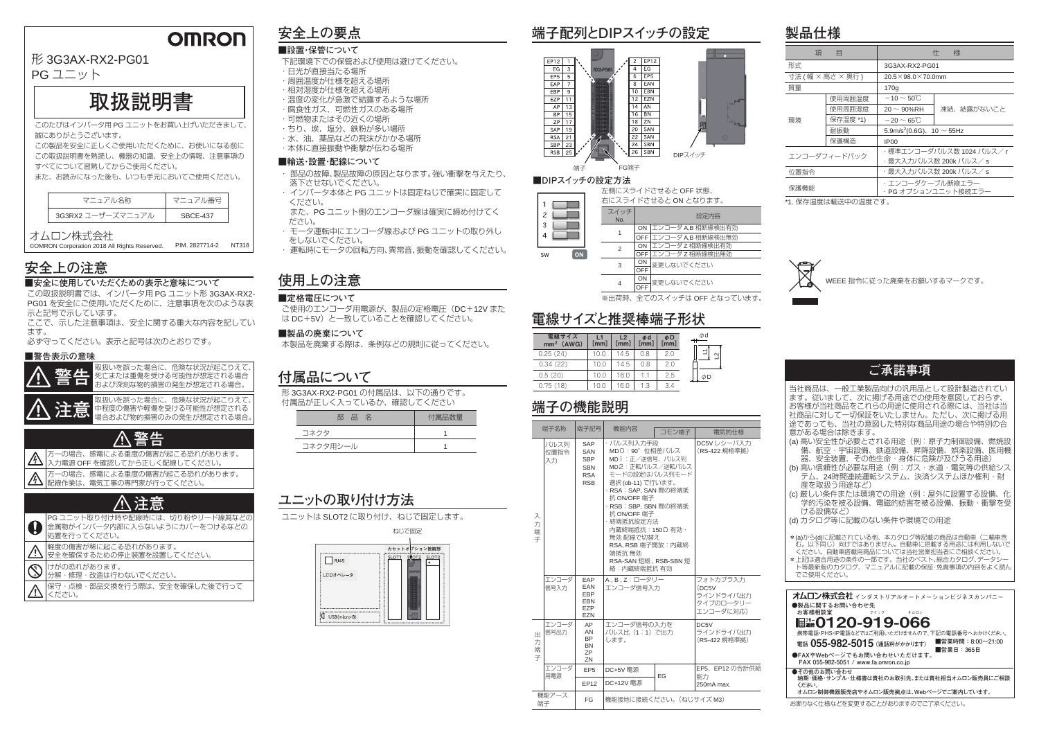### **OMRON**

### 形 3G3AX-RX2-PG01

PG ユニット

# **取扱説明書**

このたびはインバータ用 PG ユニットをお買い上げいただきまして、 誠にありがとうございます。

この製品を安全に正しくご使用いただくために、お使いになる前に この取扱説明書を熟読し、機器の知識、安全上の情報、注意事項の

すべてについて習熟してからご使用ください。

また、お読みになった後も、いつも手元においてご使用ください。

#### オムロン株式会社

©OMRON Corporation 2018 All Rights Reserved. PIM. 2827714-2 NT318

# **■安全に使用していただくための表示と意味について安全上の注意 使用上の注意**

### **安全上の要点**

#### **■設置・保管について**

### **製品仕様**

- 下記環境下での保管および使用は避けてください。
- ・日光が直接当たる場所
- ・周囲温度が仕様を超える場所
- ・相対湿度が仕様を超える場所
- ・温度の変化が急激で結露するような場所
- ・腐食性ガス、可燃性ガスのある場所
- ・可燃物またはその近くの場所
- ・ちり、埃、塩分、鉄粉が多い場所・水、油、薬品などの飛沫がかかる場所
- ・本体に直接振動や衝撃が伝わる場所

| マニュアル名称           | マニュアル番号         |
|-------------------|-----------------|
| 3G3RX2 ユーザーズマニュアル | <b>SBCF-437</b> |

 $\overline{\bigcirc}$ 分解・修理・改造は行わないでください。

この取扱説明書では、インバータ用 PG ユニット形 3G3AX-RX2- PG01 を安全にご使用いただくために、注意事項を次のような表 示と記号で示しています。

ここで、示した注意事項は、安全に関する重大な内容を記しています。

必ず守ってください。表示と記号は次のとおりです。

#### **■警告表示の意味**



ON 変更しないでください OFF3

軽度の傷害が稀に起こる恐れがあります。安全を確保するための停止装置を設置してください。

保守・点検・部品交換を行う際は、安全を確保した後で行ってください。

けがの恐れがあります。

#### **■輸送・設置・配線について**

#### **■定格電圧について**

**■製品の廃棄について**

本製品を廃棄する際は、条例などの規則に従ってください。

### **付属品について**

形 3G3AX-RX2-PG01 の付属品は、以下の通りです。 付属品が正しく入っているか、確認してください

ユニットは SLOT2 に取り付け、ねじで固定します。

| 部<br>「品名 | 付属品数量 |
|----------|-------|
| コネクタ     |       |
| コネクタ用シール |       |

### **ユニットの取り付け方法**



ご使用のエンコーダ用電源が、製品の定格電圧(DC +12V また は DC+5V)と一致していることを確認してください。

### **端子の機能説明**

### **電線サイズと推奨棒端子形状**

\*1. 保存温度は輸送中の温度です。



|                                                    | 端子名称               | 端子記号                                                               | 機能内容                                                                                                                                                                                                                                                                                                          | コモン端子 | 電気的仕様                                                     |
|----------------------------------------------------|--------------------|--------------------------------------------------------------------|---------------------------------------------------------------------------------------------------------------------------------------------------------------------------------------------------------------------------------------------------------------------------------------------------------------|-------|-----------------------------------------------------------|
| 入<br>力<br>端<br>子                                   | パルス列<br>位置指令<br>入力 | SAP<br>SAN<br><b>SBP</b><br><b>SBN</b><br><b>RSA</b><br><b>RSB</b> | ・パルス列入力手段<br>MDO: 90° 位相差パルス<br>MD1:正/逆信号、パルス列<br>MD2:正転パルス/逆転パルス<br>モードの設定はパルス列モード<br>選択 (ob-11) で行います。<br>· RSA: SAP, SAN 間の終端抵<br>抗 ON/OFF 端子<br>· RSB: SBP, SBN 間の終端抵<br>抗 ON/OFF 端子<br>・終端抵抗設定方法<br>内蔵終端抵抗:150Ω 有効.<br>無効 配線で切替え<br>RSA, RSB 端子開放: 内蔵終<br>端抵抗 無効<br>RSA-SAN 短絡, RSB-SBN 短<br>絡:内蔵終端抵抗 有効 |       | DC5V レシーバ入力<br>(RS-422 規格準拠)                              |
|                                                    | エンコーダ<br>信号入力      | EAP<br>EAN<br><b>EBP</b><br><b>EBN</b><br>EZP<br><b>EZN</b>        | A.B.Z:ロータリー<br>エンコーダ信号入力                                                                                                                                                                                                                                                                                      |       | フォトカプラ入力<br>(DC5V)<br>ラインドライバ出力<br>タイプのロータリー<br>エンコーダに対応) |
| Ж.<br>力<br>端<br>子                                  | エンコーダ<br>信号出力      | AP<br>AN<br><b>BP</b><br><b>BN</b><br><b>ZP</b><br>ZN              | エンコーダ信号の入力を<br>パルス比 (1:1) で出力<br>します。                                                                                                                                                                                                                                                                         |       | DC <sub>5</sub> V<br>ラインドライバ出力<br>(RS-422 規格準拠)           |
|                                                    | エンコーダ<br>用電源       | FP <sub>5</sub>                                                    | DC+5V 雷源                                                                                                                                                                                                                                                                                                      | EG    | EP5. EP12 の合計供給<br>能力                                     |
|                                                    |                    | EP12                                                               | DC+12V 電源                                                                                                                                                                                                                                                                                                     |       | 250mA max.                                                |
| 機能アース<br>機能接地に接続ください。(ねじサイズ M3)<br><b>FG</b><br>端子 |                    |                                                                    |                                                                                                                                                                                                                                                                                                               |       |                                                           |

※出荷時、全てのスイッチは OFF となっています。

 $\supseteq$ 



変更しないでください **OFF** ON4

| 頂    | 目                  | 仕<br>様                                     |            |  |
|------|--------------------|--------------------------------------------|------------|--|
| 形式   |                    | 3G3AX-RX2-PG01                             |            |  |
|      | 寸法 ( 幅 × 高さ × 奥行 ) | $20.5 \times 98.0 \times 70.0$ mm          |            |  |
| 質量   |                    | 170q                                       |            |  |
|      | 使用周囲温度             | $-10\,{\sim}\,50^\circ\!{\rm C}$           |            |  |
|      | 使用周囲湿度             | $20 \sim 90\%$ RH                          | 凍結、結露がないこと |  |
| 環境   | 保存温度 *1)           | $-20 \sim 65$ °C                           |            |  |
|      | 耐振動                | 5.9m/s <sup>2</sup> (0.6G), 10 $\sim$ 55Hz |            |  |
|      | 保護構造               | IP <sub>00</sub>                           |            |  |
|      | エンコーダフィードバック       | ・標準エンコーダパルス数 1024 パルス/ r                   |            |  |
|      |                    | ・最大入力パルス数 200k パルス/ s                      |            |  |
| 位置指令 |                    | ・最大入力パルス数 200k パルス/ s                      |            |  |
| 保護機能 |                    | ・エンコーダケーブル断線エラー<br>· PG オプションユニット接続エラー     |            |  |





| 電線サイズ<br>$mm2$ (AWG) | [mm] | L <sub>2</sub><br>[mm] | Φd<br>[mm] | ΦD<br>[mm] |
|----------------------|------|------------------------|------------|------------|
| 0.25(24)             | 10.0 | 14.5                   | 0.8        | 2.0        |
| 0.34(22)             | 10.0 | 14.5                   | 0.8        | 2.0        |
| 0.5(20)              | 10.0 | 16.0                   | 11         | 2.5        |
| 0.75(18)             | 10.0 | 16 ()                  | 1.3        | 34         |

- ・ 部品の故障、製品故障の原因となります。強い衝撃を与えたり、 落下させないでください。
- ・ インバータ本体と PG ユニットは固定ねじで確実に固定して ください。

また、PG ユニット側のエンコーダ線は確実に締め付けてください。

 ・ モータ運転中にエンコーダ線および PG ユニットの取り外し をしないでください。

・ 運転時にモータの回転方向、異常音、振動を確認してください。



お断りなく仕様などを変更することがありますのでご了承ください。

### **ご承諾事項**

WEEE 指令に従った廃棄をお願いするマークです。